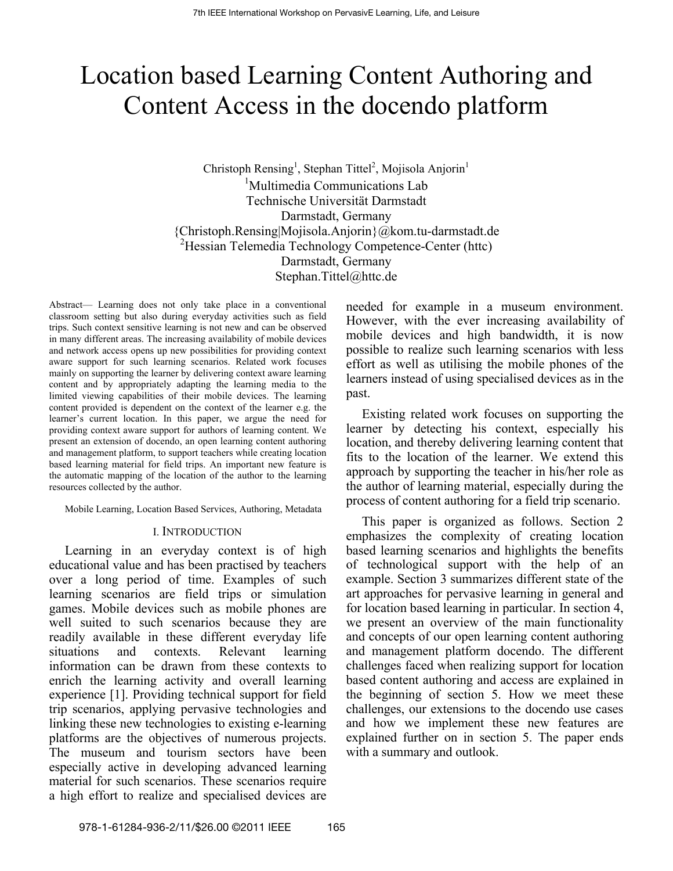# Location based Learning Content Authoring and Content Access in the docendo platform

Christoph Rensing<sup>1</sup>, Stephan Tittel<sup>2</sup>, Mojisola Anjorin<sup>1</sup> <sup>1</sup>Multimedia Communications Lab Technische Universität Darmstadt Darmstadt, Germany {Christoph.Rensing|Mojisola.Anjorin}@kom.tu-darmstadt.de 2 Hessian Telemedia Technology Competence-Center (httc) Darmstadt, Germany Stephan.Tittel@httc.de

Abstract— Learning does not only take place in a conventional classroom setting but also during everyday activities such as field trips. Such context sensitive learning is not new and can be observed in many different areas. The increasing availability of mobile devices and network access opens up new possibilities for providing context aware support for such learning scenarios. Related work focuses mainly on supporting the learner by delivering context aware learning content and by appropriately adapting the learning media to the limited viewing capabilities of their mobile devices. The learning content provided is dependent on the context of the learner e.g. the learner's current location. In this paper, we argue the need for providing context aware support for authors of learning content. We present an extension of docendo, an open learning content authoring and management platform, to support teachers while creating location based learning material for field trips. An important new feature is the automatic mapping of the location of the author to the learning resources collected by the author.

Mobile Learning, Location Based Services, Authoring, Metadata

#### I. INTRODUCTION

Learning in an everyday context is of high educational value and has been practised by teachers over a long period of time. Examples of such learning scenarios are field trips or simulation games. Mobile devices such as mobile phones are well suited to such scenarios because they are readily available in these different everyday life situations and contexts. Relevant learning information can be drawn from these contexts to enrich the learning activity and overall learning experience [1]. Providing technical support for field trip scenarios, applying pervasive technologies and linking these new technologies to existing e-learning platforms are the objectives of numerous projects. The museum and tourism sectors have been especially active in developing advanced learning material for such scenarios. These scenarios require a high effort to realize and specialised devices are

needed for example in a museum environment. However, with the ever increasing availability of mobile devices and high bandwidth, it is now possible to realize such learning scenarios with less effort as well as utilising the mobile phones of the learners instead of using specialised devices as in the past.

Existing related work focuses on supporting the learner by detecting his context, especially his location, and thereby delivering learning content that fits to the location of the learner. We extend this approach by supporting the teacher in his/her role as the author of learning material, especially during the process of content authoring for a field trip scenario.

This paper is organized as follows. Section 2 emphasizes the complexity of creating location based learning scenarios and highlights the benefits of technological support with the help of an example. Section 3 summarizes different state of the art approaches for pervasive learning in general and for location based learning in particular. In section 4, we present an overview of the main functionality and concepts of our open learning content authoring and management platform docendo. The different challenges faced when realizing support for location based content authoring and access are explained in the beginning of section 5. How we meet these challenges, our extensions to the docendo use cases and how we implement these new features are explained further on in section 5. The paper ends with a summary and outlook.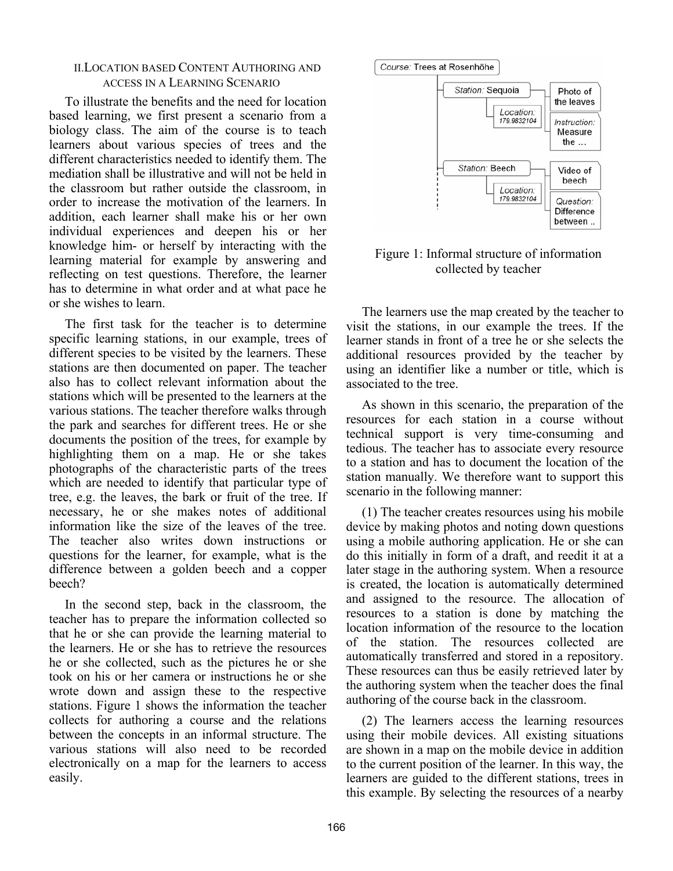#### II.LOCATION BASED CONTENT AUTHORING AND ACCESS IN A LEARNING SCENARIO

To illustrate the benefits and the need for location based learning, we first present a scenario from a biology class. The aim of the course is to teach learners about various species of trees and the different characteristics needed to identify them. The mediation shall be illustrative and will not be held in the classroom but rather outside the classroom, in order to increase the motivation of the learners. In addition, each learner shall make his or her own individual experiences and deepen his or her knowledge him- or herself by interacting with the learning material for example by answering and reflecting on test questions. Therefore, the learner has to determine in what order and at what pace he or she wishes to learn.

The first task for the teacher is to determine specific learning stations, in our example, trees of different species to be visited by the learners. These stations are then documented on paper. The teacher also has to collect relevant information about the stations which will be presented to the learners at the various stations. The teacher therefore walks through the park and searches for different trees. He or she documents the position of the trees, for example by highlighting them on a map. He or she takes photographs of the characteristic parts of the trees which are needed to identify that particular type of tree, e.g. the leaves, the bark or fruit of the tree. If necessary, he or she makes notes of additional information like the size of the leaves of the tree. The teacher also writes down instructions or questions for the learner, for example, what is the difference between a golden beech and a copper beech?

In the second step, back in the classroom, the teacher has to prepare the information collected so that he or she can provide the learning material to the learners. He or she has to retrieve the resources he or she collected, such as the pictures he or she took on his or her camera or instructions he or she wrote down and assign these to the respective stations. Figure 1 shows the information the teacher collects for authoring a course and the relations between the concepts in an informal structure. The various stations will also need to be recorded electronically on a map for the learners to access easily.



Figure 1: Informal structure of information collected by teacher

The learners use the map created by the teacher to visit the stations, in our example the trees. If the learner stands in front of a tree he or she selects the additional resources provided by the teacher by using an identifier like a number or title, which is associated to the tree.

As shown in this scenario, the preparation of the resources for each station in a course without technical support is very time-consuming and tedious. The teacher has to associate every resource to a station and has to document the location of the station manually. We therefore want to support this scenario in the following manner:

(1) The teacher creates resources using his mobile device by making photos and noting down questions using a mobile authoring application. He or she can do this initially in form of a draft, and reedit it at a later stage in the authoring system. When a resource is created, the location is automatically determined and assigned to the resource. The allocation of resources to a station is done by matching the location information of the resource to the location of the station. The resources collected are automatically transferred and stored in a repository. These resources can thus be easily retrieved later by the authoring system when the teacher does the final authoring of the course back in the classroom.

(2) The learners access the learning resources using their mobile devices. All existing situations are shown in a map on the mobile device in addition to the current position of the learner. In this way, the learners are guided to the different stations, trees in this example. By selecting the resources of a nearby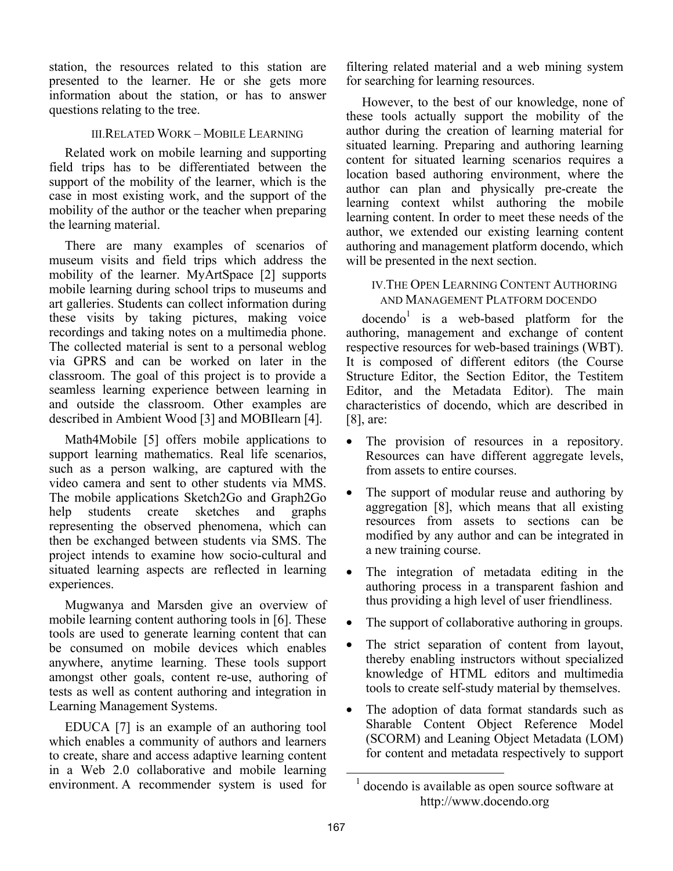station, the resources related to this station are presented to the learner. He or she gets more information about the station, or has to answer questions relating to the tree.

## III.RELATED WORK – MOBILE LEARNING

Related work on mobile learning and supporting field trips has to be differentiated between the support of the mobility of the learner, which is the case in most existing work, and the support of the mobility of the author or the teacher when preparing the learning material.

There are many examples of scenarios of museum visits and field trips which address the mobility of the learner. MyArtSpace [2] supports mobile learning during school trips to museums and art galleries. Students can collect information during these visits by taking pictures, making voice recordings and taking notes on a multimedia phone. The collected material is sent to a personal weblog via GPRS and can be worked on later in the classroom. The goal of this project is to provide a seamless learning experience between learning in and outside the classroom. Other examples are described in Ambient Wood [3] and MOBIlearn [4].

Math4Mobile [5] offers mobile applications to support learning mathematics. Real life scenarios, such as a person walking, are captured with the video camera and sent to other students via MMS. The mobile applications Sketch2Go and Graph2Go help students create sketches and graphs representing the observed phenomena, which can then be exchanged between students via SMS. The project intends to examine how socio-cultural and situated learning aspects are reflected in learning experiences.

Mugwanya and Marsden give an overview of mobile learning content authoring tools in [6]. These tools are used to generate learning content that can be consumed on mobile devices which enables anywhere, anytime learning. These tools support amongst other goals, content re-use, authoring of tests as well as content authoring and integration in Learning Management Systems.

EDUCA [7] is an example of an authoring tool which enables a community of authors and learners to create, share and access adaptive learning content in a Web 2.0 collaborative and mobile learning environment. A recommender system is used for

filtering related material and a web mining system for searching for learning resources.

However, to the best of our knowledge, none of these tools actually support the mobility of the author during the creation of learning material for situated learning. Preparing and authoring learning content for situated learning scenarios requires a location based authoring environment, where the author can plan and physically pre-create the learning context whilst authoring the mobile learning content. In order to meet these needs of the author, we extended our existing learning content authoring and management platform docendo, which will be presented in the next section.

#### IV.THE OPEN LEARNING CONTENT AUTHORING AND MANAGEMENT PLATFORM DOCENDO

docendo<sup>1</sup> is a web-based platform for the authoring, management and exchange of content respective resources for web-based trainings (WBT). It is composed of different editors (the Course Structure Editor, the Section Editor, the Testitem Editor, and the Metadata Editor). The main characteristics of docendo, which are described in [8], are:

- The provision of resources in a repository. Resources can have different aggregate levels, from assets to entire courses.
- The support of modular reuse and authoring by aggregation [8], which means that all existing resources from assets to sections can be modified by any author and can be integrated in a new training course.
- The integration of metadata editing in the authoring process in a transparent fashion and thus providing a high level of user friendliness.
- The support of collaborative authoring in groups.
- The strict separation of content from layout, thereby enabling instructors without specialized knowledge of HTML editors and multimedia tools to create self-study material by themselves.
- The adoption of data format standards such as Sharable Content Object Reference Model (SCORM) and Leaning Object Metadata (LOM) for content and metadata respectively to support

 <sup>1</sup> docendo is available as open source software at http://www.docendo.org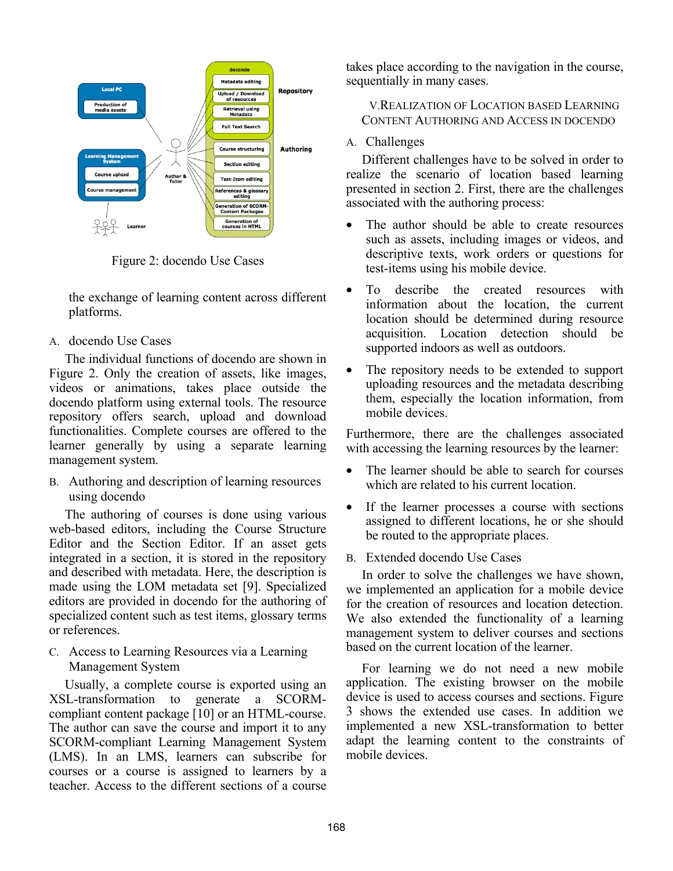

Figure 2: docendo Use Cases

the exchange of learning content across different platforms.

A. docendo Use Cases

The individual functions of docendo are shown in Figure 2. Only the creation of assets, like images, videos or animations, takes place outside the docendo platform using external tools. The resource repository offers search, upload and download functionalities. Complete courses are offered to the learner generally by using a separate learning management system.

B. Authoring and description of learning resources using docendo

The authoring of courses is done using various web-based editors, including the Course Structure Editor and the Section Editor. If an asset gets integrated in a section, it is stored in the repository and described with metadata. Here, the description is made using the LOM metadata set [9]. Specialized editors are provided in docendo for the authoring of specialized content such as test items, glossary terms or references.

C. Access to Learning Resources via a Learning Management System

Usually, a complete course is exported using an XSL-transformation to generate a SCORMcompliant content package [10] or an HTML-course. The author can save the course and import it to any SCORM-compliant Learning Management System (LMS). In an LMS, learners can subscribe for courses or a course is assigned to learners by a teacher. Access to the different sections of a course takes place according to the navigation in the course, sequentially in many cases.

V.REALIZATION OF LOCATION BASED LEARNING CONTENT AUTHORING AND ACCESS IN DOCENDO

# A. Challenges

Different challenges have to be solved in order to realize the scenario of location based learning presented in section 2. First, there are the challenges associated with the authoring process:

- The author should be able to create resources such as assets, including images or videos, and descriptive texts, work orders or questions for test-items using his mobile device.
- To describe the created resources with information about the location, the current location should be determined during resource acquisition. Location detection should be supported indoors as well as outdoors.
- The repository needs to be extended to support uploading resources and the metadata describing them, especially the location information, from mobile devices.

Furthermore, there are the challenges associated with accessing the learning resources by the learner:

- The learner should be able to search for courses which are related to his current location.
- If the learner processes a course with sections assigned to different locations, he or she should be routed to the appropriate places.
- B. Extended docendo Use Cases

In order to solve the challenges we have shown, we implemented an application for a mobile device for the creation of resources and location detection. We also extended the functionality of a learning management system to deliver courses and sections based on the current location of the learner.

For learning we do not need a new mobile application. The existing browser on the mobile device is used to access courses and sections. Figure 3 shows the extended use cases. In addition we implemented a new XSL-transformation to better adapt the learning content to the constraints of mobile devices.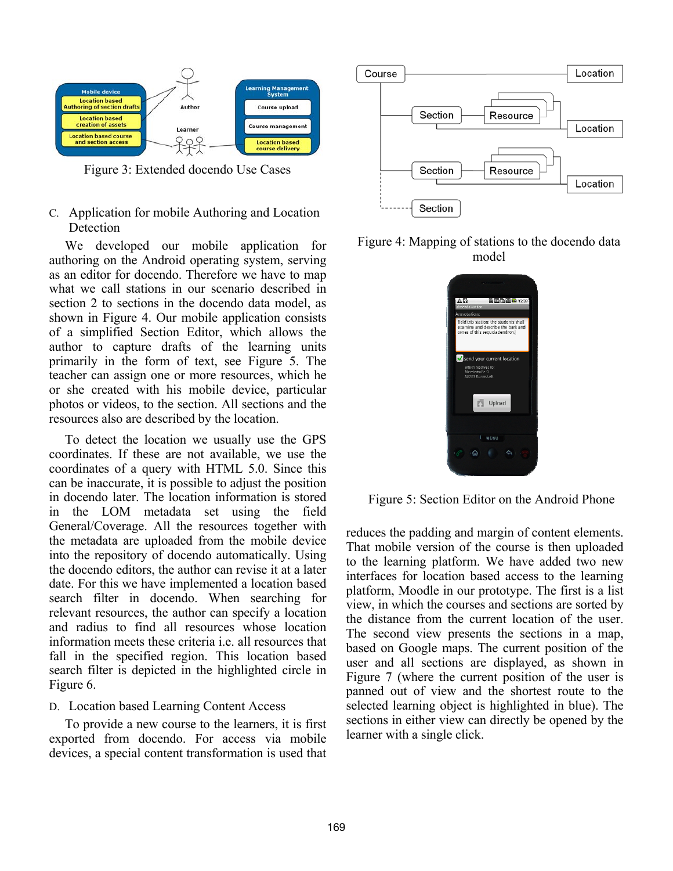

Figure 3: Extended docendo Use Cases

# C. Application for mobile Authoring and Location Detection

We developed our mobile application for authoring on the Android operating system, serving as an editor for docendo. Therefore we have to map what we call stations in our scenario described in section 2 to sections in the docendo data model, as shown in Figure 4. Our mobile application consists of a simplified Section Editor, which allows the author to capture drafts of the learning units primarily in the form of text, see Figure 5. The teacher can assign one or more resources, which he or she created with his mobile device, particular photos or videos, to the section. All sections and the resources also are described by the location.

To detect the location we usually use the GPS coordinates. If these are not available, we use the coordinates of a query with HTML 5.0. Since this can be inaccurate, it is possible to adjust the position in docendo later. The location information is stored in the LOM metadata set using the field General/Coverage. All the resources together with the metadata are uploaded from the mobile device into the repository of docendo automatically. Using the docendo editors, the author can revise it at a later date. For this we have implemented a location based search filter in docendo. When searching for relevant resources, the author can specify a location and radius to find all resources whose location information meets these criteria i.e. all resources that fall in the specified region. This location based search filter is depicted in the highlighted circle in Figure 6.

## D. Location based Learning Content Access

To provide a new course to the learners, it is first exported from docendo. For access via mobile devices, a special content transformation is used that







Figure 5: Section Editor on the Android Phone

reduces the padding and margin of content elements. That mobile version of the course is then uploaded to the learning platform. We have added two new interfaces for location based access to the learning platform, Moodle in our prototype. The first is a list view, in which the courses and sections are sorted by the distance from the current location of the user. The second view presents the sections in a map, based on Google maps. The current position of the user and all sections are displayed, as shown in Figure 7 (where the current position of the user is panned out of view and the shortest route to the selected learning object is highlighted in blue). The sections in either view can directly be opened by the learner with a single click.